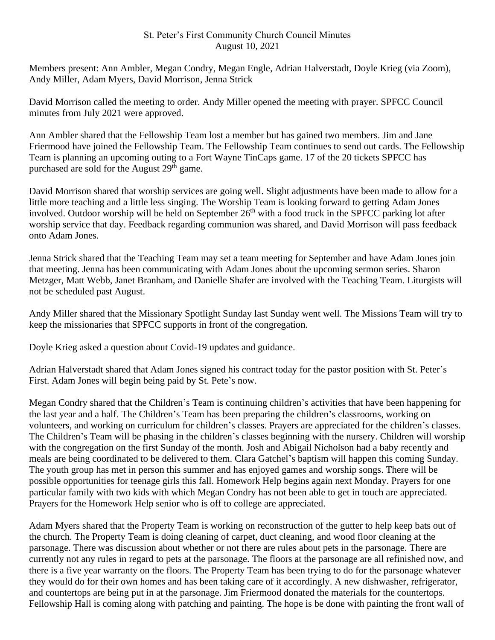## St. Peter's First Community Church Council Minutes August 10, 2021

Members present: Ann Ambler, Megan Condry, Megan Engle, Adrian Halverstadt, Doyle Krieg (via Zoom), Andy Miller, Adam Myers, David Morrison, Jenna Strick

David Morrison called the meeting to order. Andy Miller opened the meeting with prayer. SPFCC Council minutes from July 2021 were approved.

Ann Ambler shared that the Fellowship Team lost a member but has gained two members. Jim and Jane Friermood have joined the Fellowship Team. The Fellowship Team continues to send out cards. The Fellowship Team is planning an upcoming outing to a Fort Wayne TinCaps game. 17 of the 20 tickets SPFCC has purchased are sold for the August 29<sup>th</sup> game.

David Morrison shared that worship services are going well. Slight adjustments have been made to allow for a little more teaching and a little less singing. The Worship Team is looking forward to getting Adam Jones involved. Outdoor worship will be held on September 26<sup>th</sup> with a food truck in the SPFCC parking lot after worship service that day. Feedback regarding communion was shared, and David Morrison will pass feedback onto Adam Jones.

Jenna Strick shared that the Teaching Team may set a team meeting for September and have Adam Jones join that meeting. Jenna has been communicating with Adam Jones about the upcoming sermon series. Sharon Metzger, Matt Webb, Janet Branham, and Danielle Shafer are involved with the Teaching Team. Liturgists will not be scheduled past August.

Andy Miller shared that the Missionary Spotlight Sunday last Sunday went well. The Missions Team will try to keep the missionaries that SPFCC supports in front of the congregation.

Doyle Krieg asked a question about Covid-19 updates and guidance.

Adrian Halverstadt shared that Adam Jones signed his contract today for the pastor position with St. Peter's First. Adam Jones will begin being paid by St. Pete's now.

Megan Condry shared that the Children's Team is continuing children's activities that have been happening for the last year and a half. The Children's Team has been preparing the children's classrooms, working on volunteers, and working on curriculum for children's classes. Prayers are appreciated for the children's classes. The Children's Team will be phasing in the children's classes beginning with the nursery. Children will worship with the congregation on the first Sunday of the month. Josh and Abigail Nicholson had a baby recently and meals are being coordinated to be delivered to them. Clara Gatchel's baptism will happen this coming Sunday. The youth group has met in person this summer and has enjoyed games and worship songs. There will be possible opportunities for teenage girls this fall. Homework Help begins again next Monday. Prayers for one particular family with two kids with which Megan Condry has not been able to get in touch are appreciated. Prayers for the Homework Help senior who is off to college are appreciated.

Adam Myers shared that the Property Team is working on reconstruction of the gutter to help keep bats out of the church. The Property Team is doing cleaning of carpet, duct cleaning, and wood floor cleaning at the parsonage. There was discussion about whether or not there are rules about pets in the parsonage. There are currently not any rules in regard to pets at the parsonage. The floors at the parsonage are all refinished now, and there is a five year warranty on the floors. The Property Team has been trying to do for the parsonage whatever they would do for their own homes and has been taking care of it accordingly. A new dishwasher, refrigerator, and countertops are being put in at the parsonage. Jim Friermood donated the materials for the countertops. Fellowship Hall is coming along with patching and painting. The hope is be done with painting the front wall of